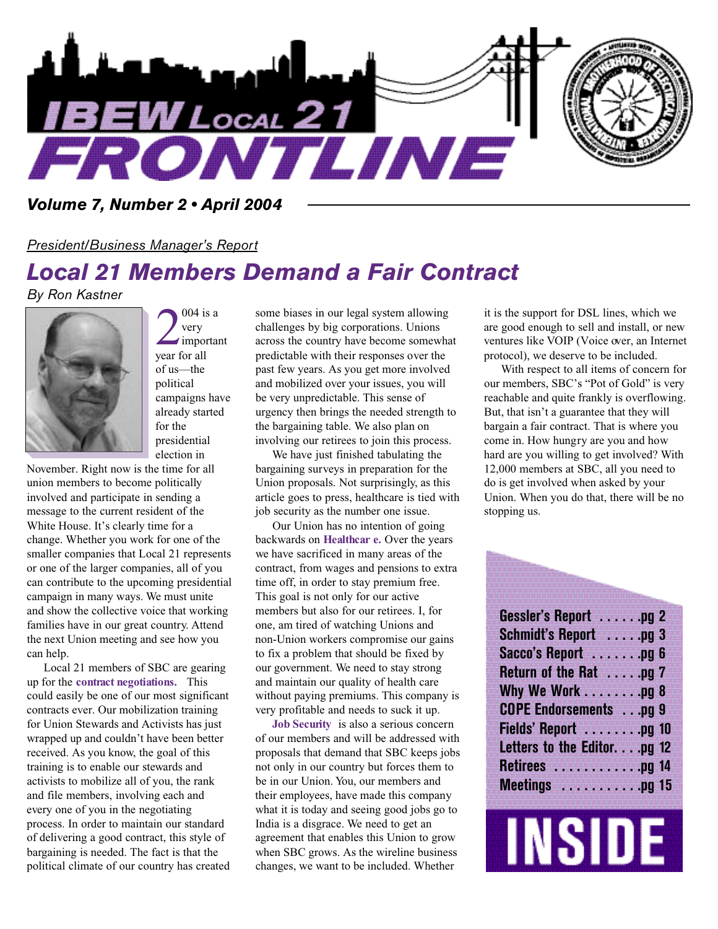

#### *Volume 7, Number 2 • April 2004*

#### *President/Business Manager's Report*

## *Local 21 Members Demand a Fair Contract*

*By Ron Kastner*



 $\sum_{\text{very}}^{004 \text{ i}}$ 004 is a very important of us—the political campaigns have already started for the presidential election in

November. Right now is the time for all union members to become politically involved and participate in sending a message to the current resident of the White House. It's clearly time for a change. Whether you work for one of the smaller companies that Local 21 represents or one of the larger companies, all of you can contribute to the upcoming presidential campaign in many ways. We must unite and show the collective voice that working families have in our great country. Attend the next Union meeting and see how you can help.

Local 21 members of SBC are gearing up for the **contract negotiations.** This could easily be one of our most significant contracts ever. Our mobilization training for Union Stewards and Activists has just wrapped up and couldn't have been better received. As you know, the goal of this training is to enable our stewards and activists to mobilize all of you, the rank and file members, involving each and every one of you in the negotiating process. In order to maintain our standard of delivering a good contract, this style of bargaining is needed. The fact is that the political climate of our country has created

some biases in our legal system allowing challenges by big corporations. Unions across the country have become somewhat predictable with their responses over the past few years. As you get more involved and mobilized over your issues, you will be very unpredictable. This sense of urgency then brings the needed strength to the bargaining table. We also plan on involving our retirees to join this process.

We have just finished tabulating the bargaining surveys in preparation for the Union proposals. Not surprisingly, as this article goes to press, healthcare is tied with job security as the number one issue.

Our Union has no intention of going backwards on **Healthcar e.** Over the years we have sacrificed in many areas of the contract, from wages and pensions to extra time off, in order to stay premium free. This goal is not only for our active members but also for our retirees. I, for one, am tired of watching Unions and non-Union workers compromise our gains to fix a problem that should be fixed by our government. We need to stay strong and maintain our quality of health care without paying premiums. This company is very profitable and needs to suck it up.

**Job Security** is also a serious concern of our members and will be addressed with proposals that demand that SBC keeps jobs not only in our country but forces them to be in our Union. You, our members and their employees, have made this company what it is today and seeing good jobs go to India is a disgrace. We need to get an agreement that enables this Union to grow when SBC grows. As the wireline business changes, we want to be included. Whether

it is the support for DSL lines, which we are good enough to sell and install, or new ventures like VOIP (Voice over, an Internet protocol), we deserve to be included.

With respect to all items of concern for our members, SBC's "Pot of Gold" is very reachable and quite frankly is overflowing. But, that isn't a guarantee that they will bargain a fair contract. That is where you come in. How hungry are you and how hard are you willing to get involved? With 12,000 members at SBC, all you need to do is get involved when asked by your Union. When you do that, there will be no stopping us.

| <b>Gessler's Report Property Property</b><br><b>Schmidt's Report 500 pg 3</b> |  |  |
|-------------------------------------------------------------------------------|--|--|
| Return of the Rat pg 7                                                        |  |  |
| Why We Work pg 8                                                              |  |  |
| <b>COPE Endorsements</b> pq 9<br>Fields' Report pg 10                         |  |  |
| Letters to the Editor.pg 12<br>Retirees with the pg 14                        |  |  |
|                                                                               |  |  |

# **INSIDE**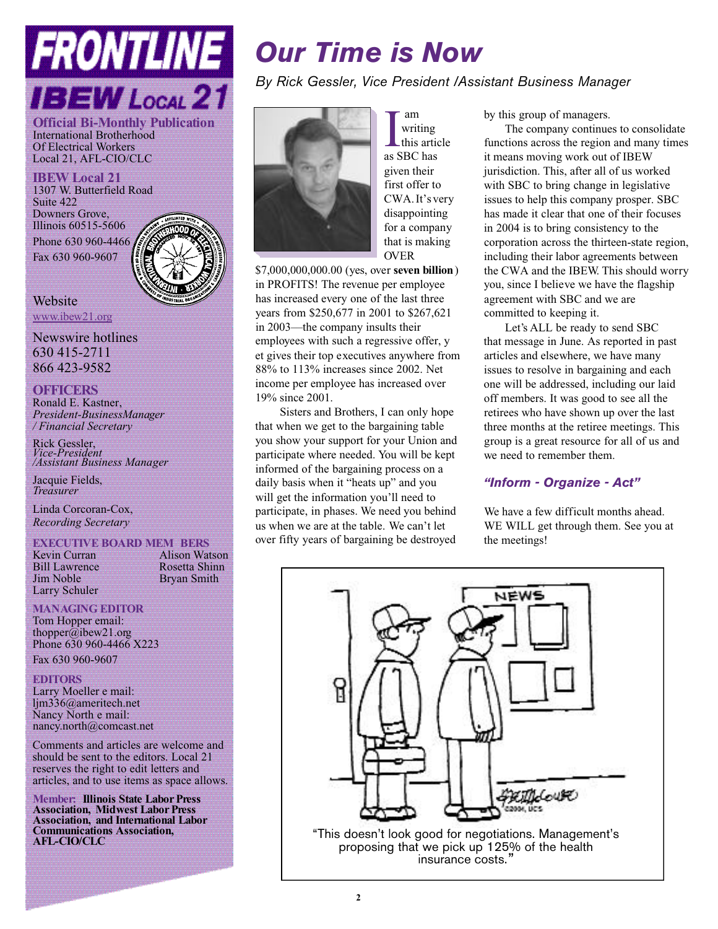# FRONTLINE **BEW** Local 21

**Official Bi-Monthly Publication** International Brotherhood Of Electrical Workers Local 21, AFL-CIO/CLC

**IBEW Local 21** 1307 W. Butterfield Road Suite 422 Downers Grove, Illinois 60515-5606 Phone 630 960-4466 Fax 630 960-9607



**Website** www.ibew21.org

Newswire hotlines 630 415-2711 866 423-9582

#### **OFFICERS**

Ronald E. Kastner, *President-BusinessManager / Financial Secretary*

Rick Gessler, *Vice-President /Assistant Business Manager*

Jacquie Fields. *Treasurer*

Linda Corcoran-Cox, *Recording Secretary*

## **EXECUTIVE BOARD MEM BERS**<br>**Kevin Curran Math Alison Wat**

Bill Lawrence<br>Jim Noble Larry Schuler

Alison Watson<br>Rosetta Shinn Bryan Smith

#### **MANAGING EDITOR**

Tom Hopper email: thopper@ibew21.org Phone 630 960-4466 X223 Fax 630 960-9607

#### **EDITORS**

Larry Moeller e mail: ljm336@ameritech.net Nancy North e mail: nancy.north@comcast.net

Comments and articles are welcome and should be sent to the editors. Local 21 reserves the right to edit letters and articles, and to use items as space allows.

**Member: Illinois State Labor Press Association, Midwest Labor Press Association, and International Labor Communications Association, AFL-CIO/CLC**

## *Our Time is Now*

*By Rick Gessler, Vice President /Assistant Business Manager*



I writing<br>this articles as SBC has am writing this article given their first offer to CWA. It's very disappointing for a company that is making **OVER** 

\$7,000,000,000,000 (yes, over **seven billion**) in PROFITS! The revenue per employee has increased every one of the last three years from \$250,677 in 2001 to \$267,621 in 2003––the company insults their employees with such a regressive offer, y et gives their top executives anywhere from 88% to 113% increases since 2002. Net income per employee has increased over 19% since 2001.

Sisters and Brothers, I can only hope that when we get to the bargaining table you show your support for your Union and participate where needed. You will be kept informed of the bargaining process on a daily basis when it "heats up" and you will get the information you'll need to participate, in phases. We need you behind us when we are at the table. We can't let over fifty years of bargaining be destroyed

by this group of managers.

The company continues to consolidate functions across the region and many times it means moving work out of IBEW jurisdiction. This, after all of us worked with SBC to bring change in legislative issues to help this company prosper. SBC has made it clear that one of their focuses in 2004 is to bring consistency to the corporation across the thirteen-state region, including their labor agreements between the CWA and the IBEW. This should worry you, since I believe we have the flagship agreement with SBC and we are committed to keeping it.

Let's ALL be ready to send SBC that message in June. As reported in past articles and elsewhere, we have many issues to resolve in bargaining and each one will be addressed, including our laid off members. It was good to see all the retirees who have shown up over the last three months at the retiree meetings. This group is a great resource for all of us and we need to remember them.

#### *"Inform - Organize - Act"*

We have a few difficult months ahead. WE WILL get through them. See you at the meetings!

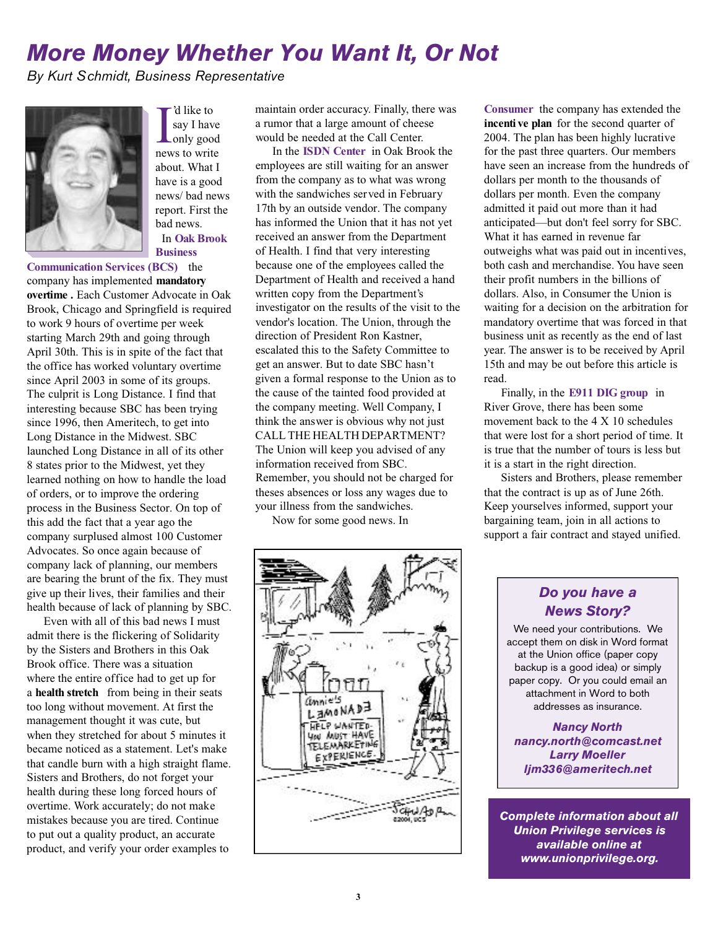## *More Money Whether You Want It, Or Not*

*By Kurt Schmidt, Business Representative*



I d like to<br>say I have<br>only good<br>news to write 'd like to say I have Lonly good about. What I have is a good news/ bad news report. First the bad news. In **Oak Brook Business**

**Communication Services (BCS)** the company has implemented **mandatory overtime .** Each Customer Advocate in Oak Brook, Chicago and Springfield is required to work 9 hours of overtime per week starting March 29th and going through April 30th. This is in spite of the fact that the office has worked voluntary overtime since April 2003 in some of its groups. The culprit is Long Distance. I find that interesting because SBC has been trying since 1996, then Ameritech, to get into Long Distance in the Midwest. SBC launched Long Distance in all of its other 8 states prior to the Midwest, yet they learned nothing on how to handle the load of orders, or to improve the ordering process in the Business Sector. On top of this add the fact that a year ago the company surplused almost 100 Customer Advocates. So once again because of company lack of planning, our members are bearing the brunt of the fix. They must give up their lives, their families and their health because of lack of planning by SBC.

Even with all of this bad news I must admit there is the flickering of Solidarity by the Sisters and Brothers in this Oak Brook office. There was a situation where the entire office had to get up for a **health stretch** from being in their seats too long without movement. At first the management thought it was cute, but when they stretched for about 5 minutes it became noticed as a statement. Let's make that candle burn with a high straight flame. Sisters and Brothers, do not forget your health during these long forced hours of overtime. Work accurately; do not make mistakes because you are tired. Continue to put out a quality product, an accurate product, and verify your order examples to

maintain order accuracy. Finally, there was a rumor that a large amount of cheese would be needed at the Call Center.

In the **ISDN Center** in Oak Brook the employees are still waiting for an answer from the company as to what was wrong with the sandwiches served in February 17th by an outside vendor. The company has informed the Union that it has not yet received an answer from the Department of Health. I find that very interesting because one of the employees called the Department of Health and received a hand written copy from the Department's investigator on the results of the visit to the vendor's location. The Union, through the direction of President Ron Kastner, escalated this to the Safety Committee to get an answer. But to date SBC hasn't given a formal response to the Union as to the cause of the tainted food provided at the company meeting. Well Company, I think the answer is obvious why not just CALL THE HEALTH DEPARTMENT? The Union will keep you advised of any information received from SBC. Remember, you should not be charged for theses absences or loss any wages due to your illness from the sandwiches.

Now for some good news. In



**Consumer** the company has extended the **incenti ve plan** for the second quarter of 2004. The plan has been highly lucrative for the past three quarters. Our members have seen an increase from the hundreds of dollars per month to the thousands of dollars per month. Even the company admitted it paid out more than it had anticipated—but don't feel sorry for SBC. What it has earned in revenue far outweighs what was paid out in incentives, both cash and merchandise. You have seen their profit numbers in the billions of dollars. Also, in Consumer the Union is waiting for a decision on the arbitration for mandatory overtime that was forced in that business unit as recently as the end of last year. The answer is to be received by April 15th and may be out before this article is read.

Finally, in the **E911 DIG group** in River Grove, there has been some movement back to the 4 X 10 schedules that were lost for a short period of time. It is true that the number of tours is less but it is a start in the right direction.

Sisters and Brothers, please remember that the contract is up as of June 26th. Keep yourselves informed, support your bargaining team, join in all actions to support a fair contract and stayed unified.

#### *Do you have a News Story?*

We need your contributions. We accept them on disk in Word format at the Union office (paper copy backup is a good idea) or simply paper copy. Or you could email an attachment in Word to both addresses as insurance.

*Nancy North nancy.north@comcast.net Larry Moeller ljm336@ameritech.net*

*Complete information about all Union Privilege services is available online at www.unionprivilege.org.*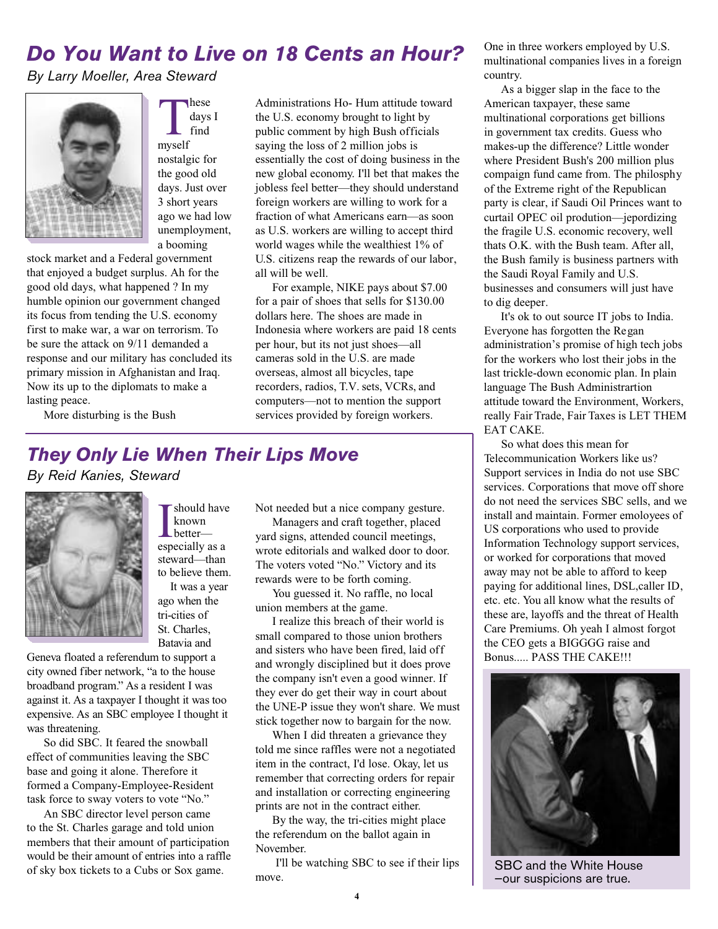## *Do You Want to Live on 18 Cents an Hour?*

*By Larry Moeller, Area Steward*



T myself hese days I find nostalgic for the good old days. Just over 3 short years ago we had low unemployment, a booming

stock market and a Federal government that enjoyed a budget surplus. Ah for the good old days, what happened ? In my humble opinion our government changed its focus from tending the U.S. economy first to make war, a war on terrorism. To be sure the attack on 9/11 demanded a response and our military has concluded its primary mission in Afghanistan and Iraq. Now its up to the diplomats to make a lasting peace.

Administrations Ho- Hum attitude toward the U.S. economy brought to light by public comment by high Bush officials saying the loss of 2 million jobs is essentially the cost of doing business in the new global economy. I'll bet that makes the jobless feel better—they should understand foreign workers are willing to work for a fraction of what Americans earn—as soon as U.S. workers are willing to accept third world wages while the wealthiest 1% of U.S. citizens reap the rewards of our labor, all will be well.

For example, NIKE pays about \$7.00 for a pair of shoes that sells for \$130.00 dollars here. The shoes are made in Indonesia where workers are paid 18 cents per hour, but its not just shoes—all cameras sold in the U.S. are made overseas, almost all bicycles, tape recorders, radios, T.V. sets, VCRs, and computers—not to mention the support services provided by foreign workers.

More disturbing is the Bush

#### *They Only Lie When Their Lips Move*

*By Reid Kanies, Steward*



**I** should have<br>better—<br>especially as a should have known better steward—than to believe them. It was a year

ago when the tri-cities of St. Charles, Batavia and

Geneva floated a referendum to support a city owned fiber network, "a to the house broadband program." As a resident I was against it. As a taxpayer I thought it was too expensive. As an SBC employee I thought it was threatening.

So did SBC. It feared the snowball effect of communities leaving the SBC base and going it alone. Therefore it formed a Company-Employee-Resident task force to sway voters to vote "No."

An SBC director level person came to the St. Charles garage and told union members that their amount of participation would be their amount of entries into a raffle of sky box tickets to a Cubs or Sox game.

Not needed but a nice company gesture.

Managers and craft together, placed yard signs, attended council meetings, wrote editorials and walked door to door. The voters voted "No." Victory and its rewards were to be forth coming.

You guessed it. No raffle, no local union members at the game.

I realize this breach of their world is small compared to those union brothers and sisters who have been fired, laid off and wrongly disciplined but it does prove the company isn't even a good winner. If they ever do get their way in court about the UNE-P issue they won't share. We must stick together now to bargain for the now.

When I did threaten a grievance they told me since raffles were not a negotiated item in the contract, I'd lose. Okay, let us remember that correcting orders for repair and installation or correcting engineering prints are not in the contract either.

By the way, the tri-cities might place the referendum on the ballot again in November.

I'll be watching SBC to see if their lips move.

One in three workers employed by U.S. multinational companies lives in a foreign country.

As a bigger slap in the face to the American taxpayer, these same multinational corporations get billions in government tax credits. Guess who makes-up the difference? Little wonder where President Bush's 200 million plus compaign fund came from. The philosphy of the Extreme right of the Republican party is clear, if Saudi Oil Princes want to curtail OPEC oil prodution—jepordizing the fragile U.S. economic recovery, well thats O.K. with the Bush team. After all, the Bush family is business partners with the Saudi Royal Family and U.S. businesses and consumers will just have to dig deeper.

It's ok to out source IT jobs to India. Everyone has forgotten the Regan administration's promise of high tech jobs for the workers who lost their jobs in the last trickle-down economic plan. In plain language The Bush Administrartion attitude toward the Environment, Workers, really Fair Trade, Fair Taxes is LET THEM EAT CAKE.

So what does this mean for Telecommunication Workers like us? Support services in India do not use SBC services. Corporations that move off shore do not need the services SBC sells, and we install and maintain. Former emoloyees of US corporations who used to provide Information Technology support services, or worked for corporations that moved away may not be able to afford to keep paying for additional lines, DSL,caller ID, etc. etc. You all know what the results of these are, layoffs and the threat of Health Care Premiums. Oh yeah I almost forgot the CEO gets a BIGGGG raise and Bonus..... PASS THE CAKE!!!



SBC and the White House —our suspicions are true.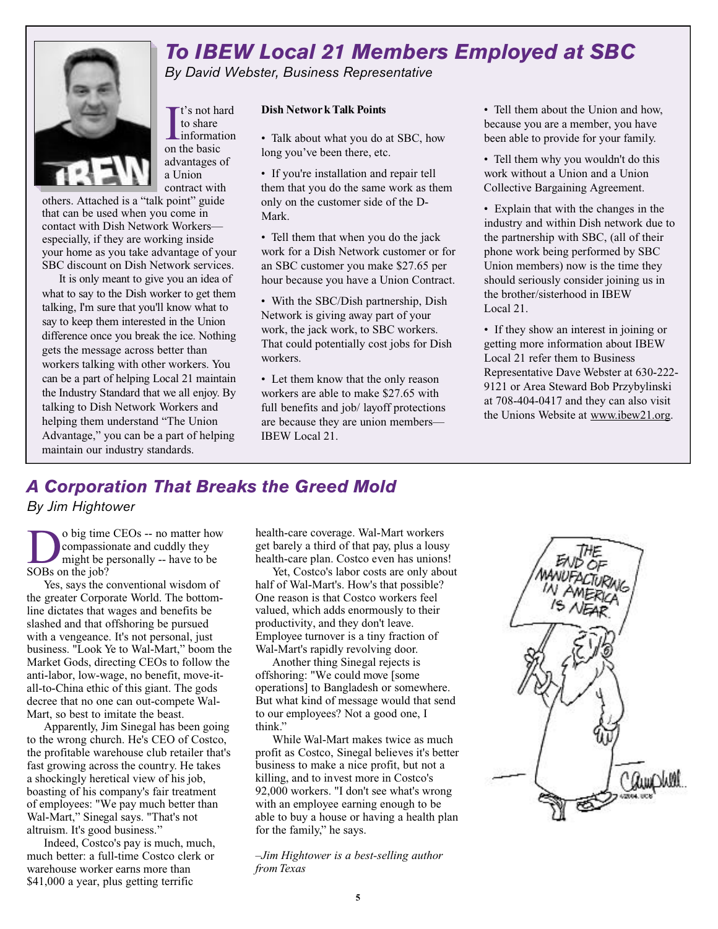#### *To IBEW Local 21 Members Employed at SBC By David Webster, Business Representative*

 $\prod_{\text{to share}}$  t's not have informat t's not hard to share information advantages of a Union contract with

others. Attached is a "talk point" guide that can be used when you come in contact with Dish Network Workers especially, if they are working inside your home as you take advantage of your SBC discount on Dish Network services.

It is only meant to give you an idea of what to say to the Dish worker to get them talking, I'm sure that you'll know what to say to keep them interested in the Union difference once you break the ice. Nothing gets the message across better than workers talking with other workers. You can be a part of helping Local 21 maintain the Industry Standard that we all enjoy. By talking to Dish Network Workers and helping them understand "The Union Advantage," you can be a part of helping maintain our industry standards.

#### **Dish Networ k Talk Points**

• Talk about what you do at SBC, how long you've been there, etc.

• If you're installation and repair tell them that you do the same work as them only on the customer side of the D-Mark.

• Tell them that when you do the jack work for a Dish Network customer or for an SBC customer you make \$27.65 per hour because you have a Union Contract.

• With the SBC/Dish partnership, Dish Network is giving away part of your work, the jack work, to SBC workers. That could potentially cost jobs for Dish workers.

• Let them know that the only reason workers are able to make \$27.65 with full benefits and job/ layoff protections are because they are union members— IBEW Local 21.

• Tell them about the Union and how, because you are a member, you have been able to provide for your family.

• Tell them why you wouldn't do this work without a Union and a Union Collective Bargaining Agreement.

• Explain that with the changes in the industry and within Dish network due to the partnership with SBC, (all of their phone work being performed by SBC Union members) now is the time they should seriously consider joining us in the brother/sisterhood in IBEW Local 21.

• If they show an interest in joining or getting more information about IBEW Local 21 refer them to Business Representative Dave Webster at 630-222- 9121 or Area Steward Bob Przybylinski at 708-404-0417 and they can also visit the Unions Website at www.ibew21.org.

#### *A Corporation That Breaks the Greed Mold*

*By Jim Hightower*

 $\sum_{\substack{\text{compassic} \\ \text{SOBs on the job?}}} 0 \text{ big time}$ o big time CEOs -- no matter how compassionate and cuddly they might be personally -- have to be

Yes, says the conventional wisdom of the greater Corporate World. The bottomline dictates that wages and benefits be slashed and that offshoring be pursued with a vengeance. It's not personal, just business. "Look Ye to Wal-Mart," boom the Market Gods, directing CEOs to follow the anti-labor, low-wage, no benefit, move-itall-to-China ethic of this giant. The gods decree that no one can out-compete Wal-Mart, so best to imitate the beast.

Apparently, Jim Sinegal has been going to the wrong church. He's CEO of Costco, the profitable warehouse club retailer that's fast growing across the country. He takes a shockingly heretical view of his job, boasting of his company's fair treatment of employees: "We pay much better than Wal-Mart," Sinegal says. "That's not altruism. It's good business."

Indeed, Costco's pay is much, much, much better: a full-time Costco clerk or warehouse worker earns more than \$41,000 a year, plus getting terrific

health-care coverage. Wal-Mart workers get barely a third of that pay, plus a lousy health-care plan. Costco even has unions!

Yet, Costco's labor costs are only about half of Wal-Mart's. How's that possible? One reason is that Costco workers feel valued, which adds enormously to their productivity, and they don't leave. Employee turnover is a tiny fraction of Wal-Mart's rapidly revolving door.

Another thing Sinegal rejects is offshoring: "We could move [some operations] to Bangladesh or somewhere. But what kind of message would that send to our employees? Not a good one, I think."

While Wal-Mart makes twice as much profit as Costco, Sinegal believes it's better business to make a nice profit, but not a killing, and to invest more in Costco's 92,000 workers. "I don't see what's wrong with an employee earning enough to be able to buy a house or having a health plan for the family," he says.

*–Jim Hightower is a best-selling author from Texas*

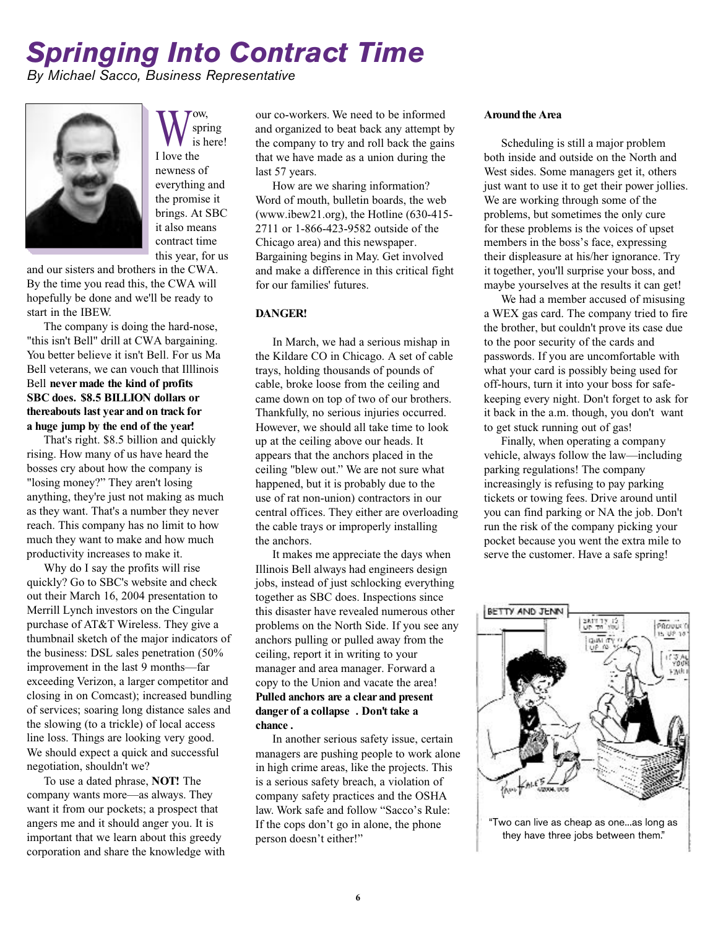## *Springing Into Contract Time*

*By Michael Sacco, Business Representative*



 $\bigvee_{i=1}^{\infty}$ <br>I love the ow, spring is here! newness of everything and the promise it brings. At SBC it also means contract time this year, for us

and our sisters and brothers in the CWA. By the time you read this, the CWA will hopefully be done and we'll be ready to start in the IBEW.

The company is doing the hard-nose, "this isn't Bell" drill at CWA bargaining. You better believe it isn't Bell. For us Ma Bell veterans, we can vouch that Illlinois Bell **never made the kind of profits SBC does. \$8.5 BILLION dollars or thereabouts last year and on track for a huge jump by the end of the year!**

That's right. \$8.5 billion and quickly rising. How many of us have heard the bosses cry about how the company is "losing money?" They aren't losing anything, they're just not making as much as they want. That's a number they never reach. This company has no limit to how much they want to make and how much productivity increases to make it.

Why do I say the profits will rise quickly? Go to SBC's website and check out their March 16, 2004 presentation to Merrill Lynch investors on the Cingular purchase of AT&T Wireless. They give a thumbnail sketch of the major indicators of the business: DSL sales penetration (50% improvement in the last 9 months—far exceeding Verizon, a larger competitor and closing in on Comcast); increased bundling of services; soaring long distance sales and the slowing (to a trickle) of local access line loss. Things are looking very good. We should expect a quick and successful negotiation, shouldn't we?

To use a dated phrase, **NOT!** The company wants more—as always. They want it from our pockets; a prospect that angers me and it should anger you. It is important that we learn about this greedy corporation and share the knowledge with our co-workers. We need to be informed and organized to beat back any attempt by the company to try and roll back the gains that we have made as a union during the last 57 years.

How are we sharing information? Word of mouth, bulletin boards, the web (www.ibew21.org), the Hotline (630-415- 2711 or 1-866-423-9582 outside of the Chicago area) and this newspaper. Bargaining begins in May. Get involved and make a difference in this critical fight for our families' futures.

#### **DANGER!**

In March, we had a serious mishap in the Kildare CO in Chicago. A set of cable trays, holding thousands of pounds of cable, broke loose from the ceiling and came down on top of two of our brothers. Thankfully, no serious injuries occurred. However, we should all take time to look up at the ceiling above our heads. It appears that the anchors placed in the ceiling "blew out." We are not sure what happened, but it is probably due to the use of rat non-union) contractors in our central offices. They either are overloading the cable trays or improperly installing the anchors.

It makes me appreciate the days when Illinois Bell always had engineers design jobs, instead of just schlocking everything together as SBC does. Inspections since this disaster have revealed numerous other problems on the North Side. If you see any anchors pulling or pulled away from the ceiling, report it in writing to your manager and area manager. Forward a copy to the Union and vacate the area! **Pulled anchors are a clear and present danger of a collapse . Don't take a chance .**

In another serious safety issue, certain managers are pushing people to work alone in high crime areas, like the projects. This is a serious safety breach, a violation of company safety practices and the OSHA law. Work safe and follow "Sacco's Rule: If the cops don't go in alone, the phone person doesn't either!"

#### **Around the Area**

Scheduling is still a major problem both inside and outside on the North and West sides. Some managers get it, others just want to use it to get their power jollies. We are working through some of the problems, but sometimes the only cure for these problems is the voices of upset members in the boss's face, expressing their displeasure at his/her ignorance. Try it together, you'll surprise your boss, and maybe yourselves at the results it can get!

We had a member accused of misusing a WEX gas card. The company tried to fire the brother, but couldn't prove its case due to the poor security of the cards and passwords. If you are uncomfortable with what your card is possibly being used for off-hours, turn it into your boss for safekeeping every night. Don't forget to ask for it back in the a.m. though, you don't want to get stuck running out of gas!

Finally, when operating a company vehicle, always follow the law—including parking regulations! The company increasingly is refusing to pay parking tickets or towing fees. Drive around until you can find parking or NA the job. Don't run the risk of the company picking your pocket because you went the extra mile to serve the customer. Have a safe spring!

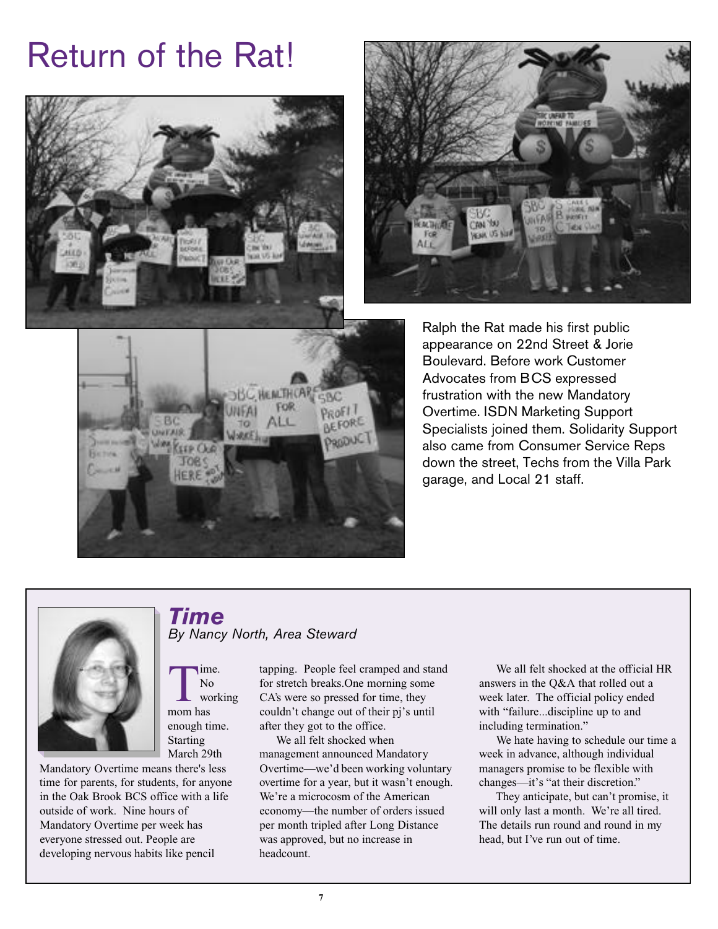# Return of the Rat!





Ralph the Rat made his first public appearance on 22nd Street & Jorie Boulevard. Before work Customer Advocates from BCS expressed frustration with the new Mandatory Overtime. ISDN Marketing Support Specialists joined them. Solidarity Support also came from Consumer Service Reps down the street, Techs from the Villa Park garage, and Local 21 staff.



*By Nancy North, Area Steward*

*Time*

ime. No working

The New World World Way

enough time. Starting



#### March 29th Mandatory Overtime means there's less time for parents, for students, for anyone in the Oak Brook BCS office with a life outside of work. Nine hours of Mandatory Overtime per week has everyone stressed out. People are developing nervous habits like pencil

#### tapping. People feel cramped and stand for stretch breaks.One morning some CA's were so pressed for time, they couldn't change out of their pj's until

after they got to the office. We all felt shocked when management announced Mandatory Overtime—we'd been working voluntary overtime for a year, but it wasn't enough. We're a microcosm of the American economy—the number of orders issued per month tripled after Long Distance was approved, but no increase in headcount.

We all felt shocked at the official HR answers in the Q&A that rolled out a week later. The official policy ended with "failure...discipline up to and including termination."

We hate having to schedule our time a week in advance, although individual managers promise to be flexible with changes—it's "at their discretion."

They anticipate, but can't promise, it will only last a month. We're all tired. The details run round and round in my head, but I've run out of time.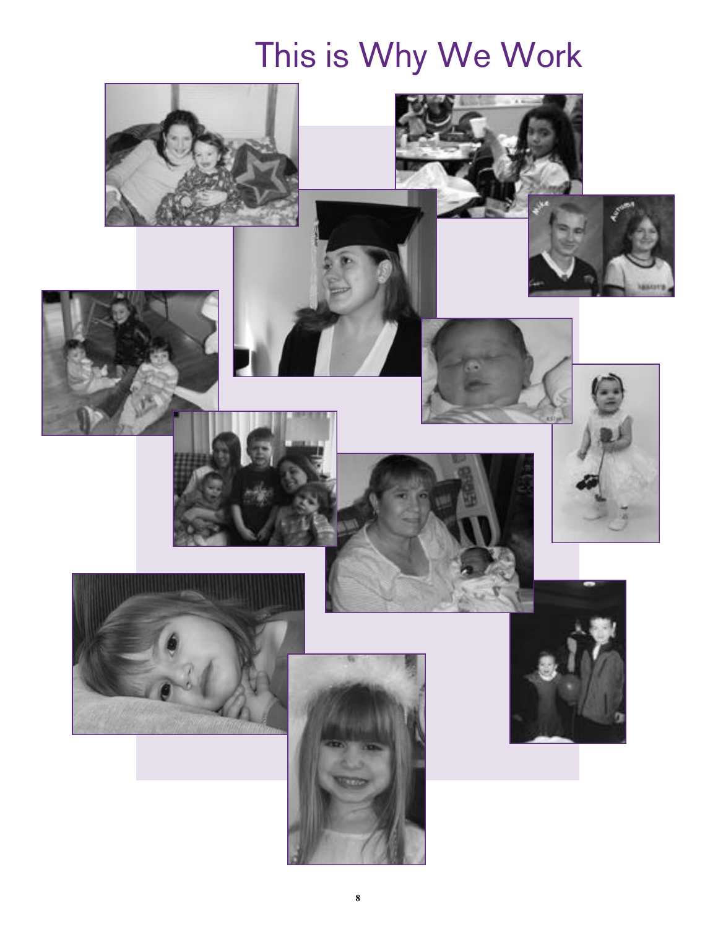# This is Why We Work

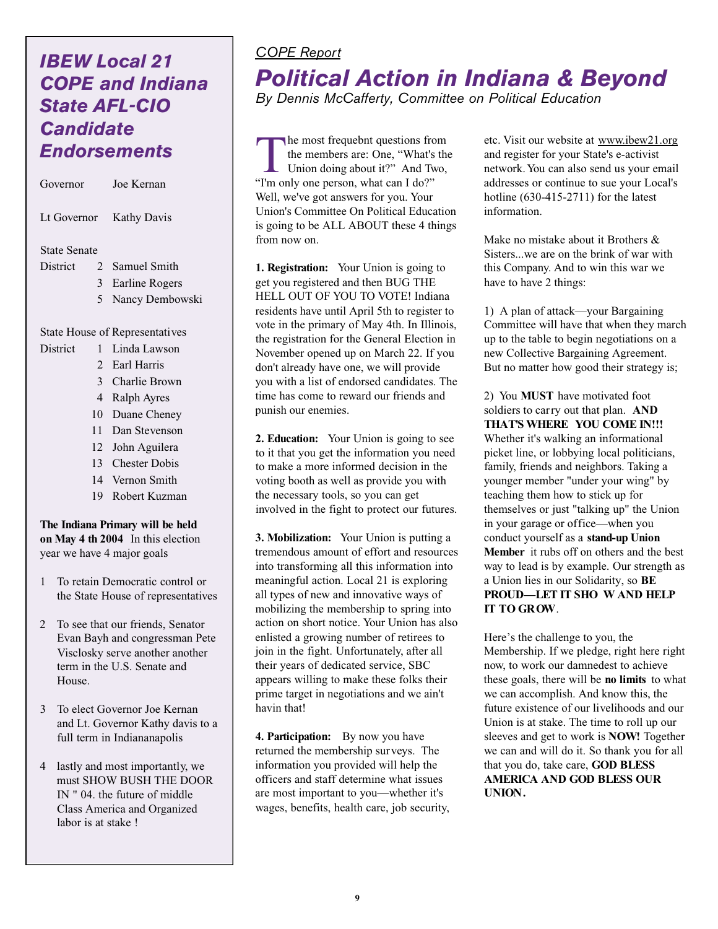## *IBEW Local 21 COPE and Indiana State AFL-CIO Candidate Endorsements*

| Governor                |   | Joe Kernan                                                                                                                     |
|-------------------------|---|--------------------------------------------------------------------------------------------------------------------------------|
| Lt Governor Kathy Davis |   |                                                                                                                                |
| <b>State Senate</b>     |   |                                                                                                                                |
| District                |   | 2 Samuel Smith                                                                                                                 |
|                         | 3 | Earline Rogers                                                                                                                 |
|                         | 5 | Nancy Dembowski                                                                                                                |
|                         |   | $Q_{t}$ $\mathbf{H}_{t}$ $\mathbf{H}_{t}$ $\mathbf{H}_{t}$ $\mathbf{H}_{t}$ $\mathbf{H}_{t}$ $\mathbf{H}_{t}$ $\mathbf{H}_{t}$ |

State House of Representatives

- District 1 Linda Lawson
	- 2 Earl Harris
		- 3 Charlie Brown
		- 4 Ralph Ayres
		- 10 Duane Cheney
		- 11 Dan Stevenson
		- 12 John Aguilera
		- 13 Chester Dobis
		- 14 Vernon Smith
		- 19 Robert Kuzman

**The Indiana Primary will be held on May 4 th 2004** In this election year we have 4 major goals

- 1 To retain Democratic control or the State House of representatives
- 2 To see that our friends, Senator Evan Bayh and congressman Pete Visclosky serve another another term in the U.S. Senate and House.
- 3 To elect Governor Joe Kernan and Lt. Governor Kathy davis to a full term in Indiananapolis
- 4 lastly and most importantly, we must SHOW BUSH THE DOOR IN " 04. the future of middle Class America and Organized labor is at stake !

#### *COPE Report*

## *Political Action in Indiana & Beyond*

*By Dennis McCafferty, Committee on Political Education*

 $\prod$ he most frequebnt questions from the members are: One, "What's the Union doing about it?" And Two, "I'm only one person, what can I do?" Well, we've got answers for you. Your Union's Committee On Political Education is going to be ALL ABOUT these 4 things from now on.

**1. Registration:** Your Union is going to get you registered and then BUG THE HELL OUT OF YOU TO VOTE! Indiana residents have until April 5th to register to vote in the primary of May 4th. In Illinois, the registration for the General Election in November opened up on March 22. If you don't already have one, we will provide you with a list of endorsed candidates. The time has come to reward our friends and punish our enemies.

**2. Education:** Your Union is going to see to it that you get the information you need to make a more informed decision in the voting booth as well as provide you with the necessary tools, so you can get involved in the fight to protect our futures.

**3. Mobilization:** Your Union is putting a tremendous amount of effort and resources into transforming all this information into meaningful action. Local 21 is exploring all types of new and innovative ways of mobilizing the membership to spring into action on short notice. Your Union has also enlisted a growing number of retirees to join in the fight. Unfortunately, after all their years of dedicated service, SBC appears willing to make these folks their prime target in negotiations and we ain't havin that!

**4. Participation:** By now you have returned the membership surveys. The information you provided will help the officers and staff determine what issues are most important to you—whether it's wages, benefits, health care, job security, etc. Visit our website at www.ibew21.org and register for your State's e-activist network. You can also send us your email addresses or continue to sue your Local's hotline (630-415-2711) for the latest information.

Make no mistake about it Brothers & Sisters...we are on the brink of war with this Company. And to win this war we have to have 2 things:

1) A plan of attack—your Bargaining Committee will have that when they march up to the table to begin negotiations on a new Collective Bargaining Agreement. But no matter how good their strategy is;

2) You **MUST** have motivated foot soldiers to carry out that plan. **AND THAT'S WHERE YOU COME IN!!!** Whether it's walking an informational picket line, or lobbying local politicians, family, friends and neighbors. Taking a younger member "under your wing" by teaching them how to stick up for themselves or just "talking up" the Union in your garage or office—when you conduct yourself as a **stand-up Union Member** it rubs off on others and the best way to lead is by example. Our strength as a Union lies in our Solidarity, so **BE PROUD—LET IT SHO W AND HELP IT TO GROW**.

Here's the challenge to you, the Membership. If we pledge, right here right now, to work our damnedest to achieve these goals, there will be **no limits** to what we can accomplish. And know this, the future existence of our livelihoods and our Union is at stake. The time to roll up our sleeves and get to work is **NOW!** Together we can and will do it. So thank you for all that you do, take care, **GOD BLESS AMERICA AND GOD BLESS OUR UNION.**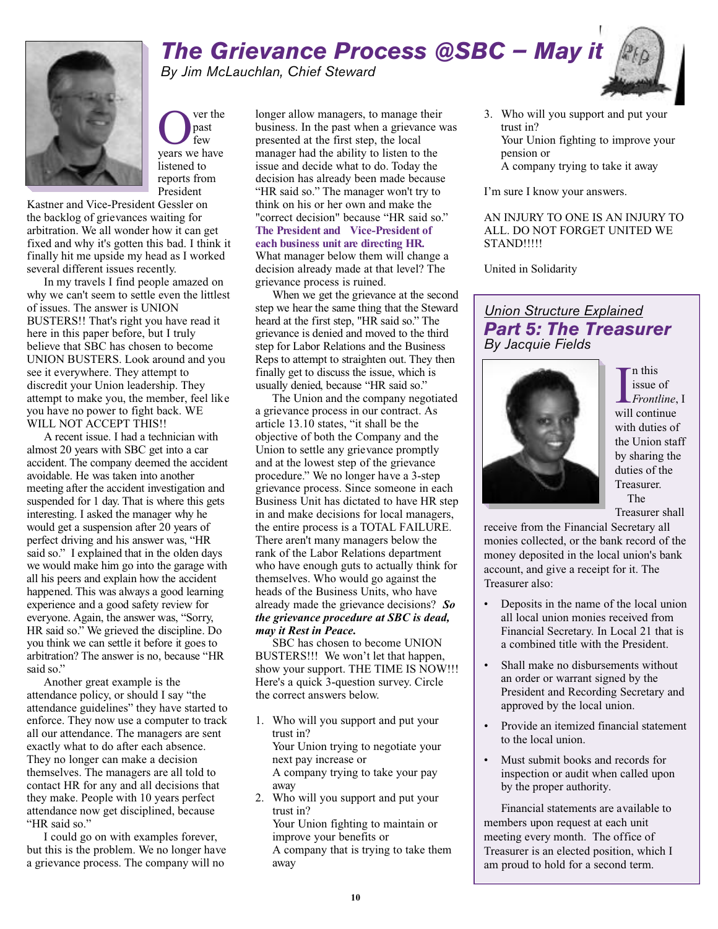### *The Grievance Process @SBC — May it By Jim McLauchlan, Chief Steward*



**O** ver the past<br>few few we have ver the past few listened to reports from President

Kastner and Vice-President Gessler on the backlog of grievances waiting for arbitration. We all wonder how it can get fixed and why it's gotten this bad. I think it finally hit me upside my head as I worked several different issues recently.

In my travels I find people amazed on why we can't seem to settle even the littlest of issues. The answer is UNION BUSTERS!! That's right you have read it here in this paper before, but I truly believe that SBC has chosen to become UNION BUSTERS. Look around and you see it everywhere. They attempt to discredit your Union leadership. They attempt to make you, the member, feel like you have no power to fight back. WE WILL NOT ACCEPT THIS!!

A recent issue. I had a technician with almost 20 years with SBC get into a car accident. The company deemed the accident avoidable. He was taken into another meeting after the accident investigation and suspended for 1 day. That is where this gets interesting. I asked the manager why he would get a suspension after 20 years of perfect driving and his answer was, "HR said so." I explained that in the olden days we would make him go into the garage with all his peers and explain how the accident happened. This was always a good learning experience and a good safety review for everyone. Again, the answer was, "Sorry, HR said so." We grieved the discipline. Do you think we can settle it before it goes to arbitration? The answer is no, because "HR said so."

Another great example is the attendance policy, or should I say "the attendance guidelines" they have started to enforce. They now use a computer to track all our attendance. The managers are sent exactly what to do after each absence. They no longer can make a decision themselves. The managers are all told to contact HR for any and all decisions that they make. People with 10 years perfect attendance now get disciplined, because "HR said so."

I could go on with examples forever, but this is the problem. We no longer have a grievance process. The company will no

longer allow managers, to manage their business. In the past when a grievance was presented at the first step, the local manager had the ability to listen to the issue and decide what to do. Today the decision has already been made because "HR said so." The manager won't try to think on his or her own and make the "correct decision" because "HR said so." **The President and Vice-President of each business unit are directing HR.** What manager below them will change a decision already made at that level? The grievance process is ruined.

When we get the grievance at the second step we hear the same thing that the Steward heard at the first step, "HR said so." The grievance is denied and moved to the third step for Labor Relations and the Business Reps to attempt to straighten out. They then finally get to discuss the issue, which is usually denied, because "HR said so."

The Union and the company negotiated a grievance process in our contract. As article 13.10 states, "it shall be the objective of both the Company and the Union to settle any grievance promptly and at the lowest step of the grievance procedure." We no longer have a 3-step grievance process. Since someone in each Business Unit has dictated to have HR step in and make decisions for local managers, the entire process is a TOTAL FAILURE. There aren't many managers below the rank of the Labor Relations department who have enough guts to actually think for themselves. Who would go against the heads of the Business Units, who have already made the grievance decisions? *So the grievance procedure at SBC is dead, may it Rest in Peace.*

SBC has chosen to become UNION BUSTERS!!! We won't let that happen, show your support. THE TIME IS NOW!!! Here's a quick 3-question survey. Circle the correct answers below.

- 1. Who will you support and put your trust in? Your Union trying to negotiate your next pay increase or A company trying to take your pay away
- 2. Who will you support and put your trust in? Your Union fighting to maintain or improve your benefits or A company that is trying to take them away

3. Who will you support and put your trust in? Your Union fighting to improve your pension or A company trying to take it away

I'm sure I know your answers.

AN INJURY TO ONE IS AN INJURY TO ALL. DO NOT FORGET UNITED WE STAND!!!!!

United in Solidarity

#### *Union Structure Explained Part 5: The Treasurer By Jacquie Fields*



In this<br>
issue of<br> *Frontline*<br>
will continue n this issue of *Frontline*, I with duties of the Union staff by sharing the duties of the Treasurer. The

Treasurer shall

receive from the Financial Secretary all monies collected, or the bank record of the money deposited in the local union's bank account, and give a receipt for it. The Treasurer also:

- Deposits in the name of the local union all local union monies received from Financial Secretary. In Local 21 that is a combined title with the President.
- Shall make no disbursements without an order or warrant signed by the President and Recording Secretary and approved by the local union.
- Provide an itemized financial statement to the local union.
- Must submit books and records for inspection or audit when called upon by the proper authority.

Financial statements are available to members upon request at each unit meeting every month. The office of Treasurer is an elected position, which I am proud to hold for a second term.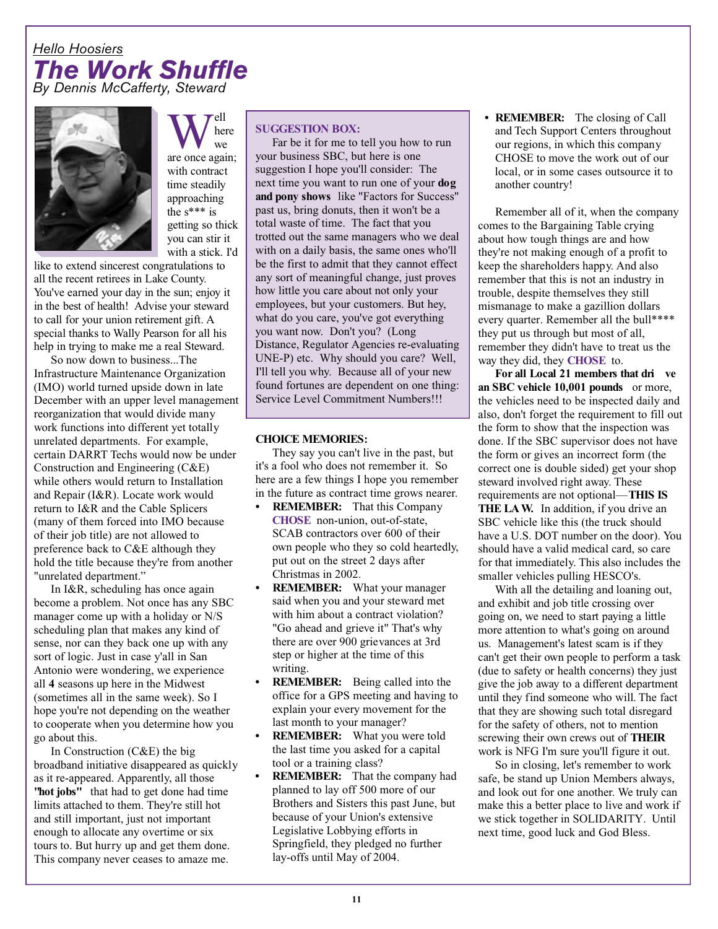#### *Hello Hoosiers The Work Shuffle By Dennis McCafferty, Steward*



Well<br>are once again; ell' here we with contract time steadily approaching the s\*\*\* is getting so thick you can stir it with a stick. I'd

like to extend sincerest congratulations to all the recent retirees in Lake County. You've earned your day in the sun; enjoy it in the best of health! Advise your steward to call for your union retirement gift. A special thanks to Wally Pearson for all his help in trying to make me a real Steward.

So now down to business...The Infrastructure Maintenance Organization (IMO) world turned upside down in late December with an upper level management reorganization that would divide many work functions into different yet totally unrelated departments. For example, certain DARRT Techs would now be under Construction and Engineering (C&E) while others would return to Installation and Repair (I&R). Locate work would return to I&R and the Cable Splicers (many of them forced into IMO because of their job title) are not allowed to preference back to C&E although they hold the title because they're from another "unrelated department."

In I&R, scheduling has once again become a problem. Not once has any SBC manager come up with a holiday or N/S scheduling plan that makes any kind of sense, nor can they back one up with any sort of logic. Just in case y'all in San Antonio were wondering, we experience all **4** seasons up here in the Midwest (sometimes all in the same week). So I hope you're not depending on the weather to cooperate when you determine how you go about this.

In Construction (C&E) the big broadband initiative disappeared as quickly as it re-appeared. Apparently, all those **"hot jobs"** that had to get done had time limits attached to them. They're still hot and still important, just not important enough to allocate any overtime or six tours to. But hurry up and get them done. This company never ceases to amaze me.

#### **SUGGESTION BOX:**

Far be it for me to tell you how to run your business SBC, but here is one suggestion I hope you'll consider: The next time you want to run one of your **dog and pony shows** like "Factors for Success" past us, bring donuts, then it won't be a total waste of time. The fact that you trotted out the same managers who we deal with on a daily basis, the same ones who'll be the first to admit that they cannot effect any sort of meaningful change, just proves how little you care about not only your employees, but your customers. But hey, what do you care, you've got everything you want now. Don't you? (Long Distance, Regulator Agencies re-evaluating UNE-P) etc. Why should you care? Well, I'll tell you why. Because all of your new found fortunes are dependent on one thing: Service Level Commitment Numbers!!!

#### **CHOICE MEMORIES:**

They say you can't live in the past, but it's a fool who does not remember it. So here are a few things I hope you remember in the future as contract time grows nearer.

- **• REMEMBER:** That this Company **CHOSE** non-union, out-of-state, SCAB contractors over 600 of their own people who they so cold heartedly, put out on the street 2 days after Christmas in 2002.
- **• REMEMBER:** What your manager said when you and your steward met with him about a contract violation? "Go ahead and grieve it" That's why there are over 900 grievances at 3rd step or higher at the time of this writing.
- **REMEMBER:** Being called into the office for a GPS meeting and having to explain your every movement for the last month to your manager?
- **REMEMBER:** What you were told the last time you asked for a capital tool or a training class?
- **REMEMBER:** That the company had planned to lay off 500 more of our Brothers and Sisters this past June, but because of your Union's extensive Legislative Lobbying efforts in Springfield, they pledged no further lay-offs until May of 2004.

**• REMEMBER:** The closing of Call and Tech Support Centers throughout our regions, in which this company CHOSE to move the work out of our local, or in some cases outsource it to another country!

Remember all of it, when the company comes to the Bargaining Table crying about how tough things are and how they're not making enough of a profit to keep the shareholders happy. And also remember that this is not an industry in trouble, despite themselves they still mismanage to make a gazillion dollars every quarter. Remember all the bull\*\*\*\* they put us through but most of all, remember they didn't have to treat us the way they did, they **CHOSE** to.

**For all Local 21 members that dri ve an SBC vehicle 10,001 pounds** or more, the vehicles need to be inspected daily and also, don't forget the requirement to fill out the form to show that the inspection was done. If the SBC supervisor does not have the form or gives an incorrect form (the correct one is double sided) get your shop steward involved right away. These requirements are not optional—**THIS IS THE LAW.** In addition, if you drive an SBC vehicle like this (the truck should have a U.S. DOT number on the door). You should have a valid medical card, so care for that immediately. This also includes the smaller vehicles pulling HESCO's.

With all the detailing and loaning out, and exhibit and job title crossing over going on, we need to start paying a little more attention to what's going on around us. Management's latest scam is if they can't get their own people to perform a task (due to safety or health concerns) they just give the job away to a different department until they find someone who will. The fact that they are showing such total disregard for the safety of others, not to mention screwing their own crews out of **THEIR** work is NFG I'm sure you'll figure it out.

So in closing, let's remember to work safe, be stand up Union Members always, and look out for one another. We truly can make this a better place to live and work if we stick together in SOLIDARITY. Until next time, good luck and God Bless.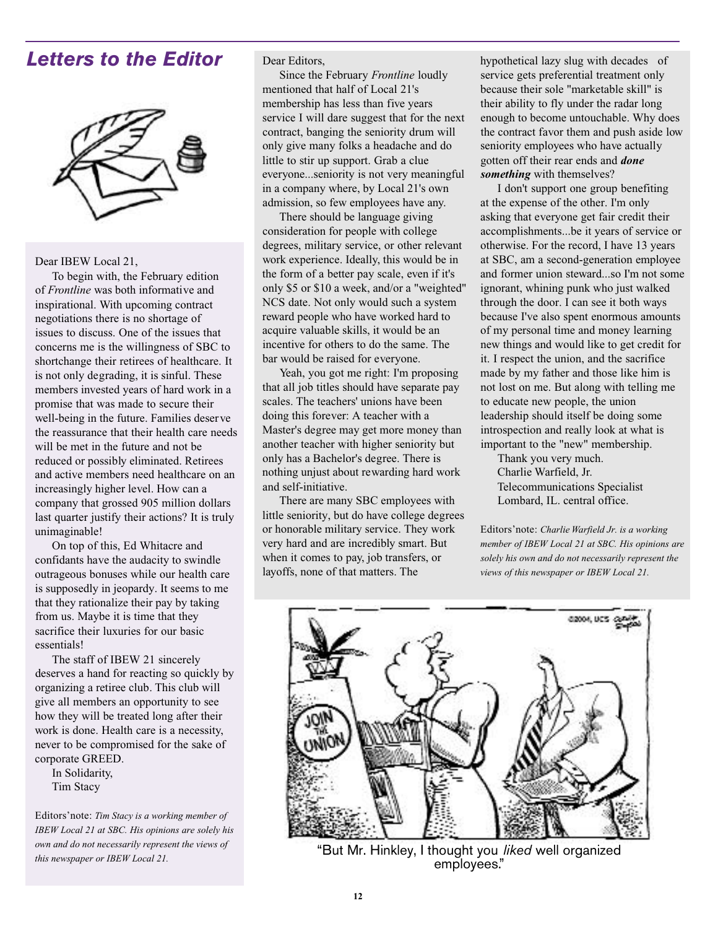## *Letters to the Editor*



Dear IBEW Local 21,

To begin with, the February edition of *Frontline* was both informative and inspirational. With upcoming contract negotiations there is no shortage of issues to discuss. One of the issues that concerns me is the willingness of SBC to shortchange their retirees of healthcare. It is not only degrading, it is sinful. These members invested years of hard work in a promise that was made to secure their well-being in the future. Families deserve the reassurance that their health care needs will be met in the future and not be reduced or possibly eliminated. Retirees and active members need healthcare on an increasingly higher level. How can a company that grossed 905 million dollars last quarter justify their actions? It is truly unimaginable!

On top of this, Ed Whitacre and confidants have the audacity to swindle outrageous bonuses while our health care is supposedly in jeopardy. It seems to me that they rationalize their pay by taking from us. Maybe it is time that they sacrifice their luxuries for our basic essentials!

The staff of IBEW 21 sincerely deserves a hand for reacting so quickly by organizing a retiree club. This club will give all members an opportunity to see how they will be treated long after their work is done. Health care is a necessity, never to be compromised for the sake of corporate GREED.

In Solidarity, Tim Stacy

Editors'note: *Tim Stacy is a working member of IBEW Local 21 at SBC. His opinions are solely his own and do not necessarily represent the views of this newspaper or IBEW Local 21.*

Dear Editors,

Since the February *Frontline* loudly mentioned that half of Local 21's membership has less than five years service I will dare suggest that for the next contract, banging the seniority drum will only give many folks a headache and do little to stir up support. Grab a clue everyone...seniority is not very meaningful in a company where, by Local 21's own admission, so few employees have any.

There should be language giving consideration for people with college degrees, military service, or other relevant work experience. Ideally, this would be in the form of a better pay scale, even if it's only \$5 or \$10 a week, and/or a "weighted" NCS date. Not only would such a system reward people who have worked hard to acquire valuable skills, it would be an incentive for others to do the same. The bar would be raised for everyone.

Yeah, you got me right: I'm proposing that all job titles should have separate pay scales. The teachers' unions have been doing this forever: A teacher with a Master's degree may get more money than another teacher with higher seniority but only has a Bachelor's degree. There is nothing unjust about rewarding hard work and self-initiative.

There are many SBC employees with little seniority, but do have college degrees or honorable military service. They work very hard and are incredibly smart. But when it comes to pay, job transfers, or layoffs, none of that matters. The

hypothetical lazy slug with decades of service gets preferential treatment only because their sole "marketable skill" is their ability to fly under the radar long enough to become untouchable. Why does the contract favor them and push aside low seniority employees who have actually gotten off their rear ends and *done something* with themselves?

I don't support one group benefiting at the expense of the other. I'm only asking that everyone get fair credit their accomplishments...be it years of service or otherwise. For the record, I have 13 years at SBC, am a second-generation employee and former union steward...so I'm not some ignorant, whining punk who just walked through the door. I can see it both ways because I've also spent enormous amounts of my personal time and money learning new things and would like to get credit for it. I respect the union, and the sacrifice made by my father and those like him is not lost on me. But along with telling me to educate new people, the union leadership should itself be doing some introspection and really look at what is important to the "new" membership.

Thank you very much. Charlie Warfield, Jr. Telecommunications Specialist Lombard, IL. central office.

Editors'note: *Charlie Warfield Jr. is a working member of IBEW Local 21 at SBC. His opinions are solely his own and do not necessarily represent the views of this newspaper or IBEW Local 21.*



"But Mr. Hinkley, I thought you *liked* well organized employees."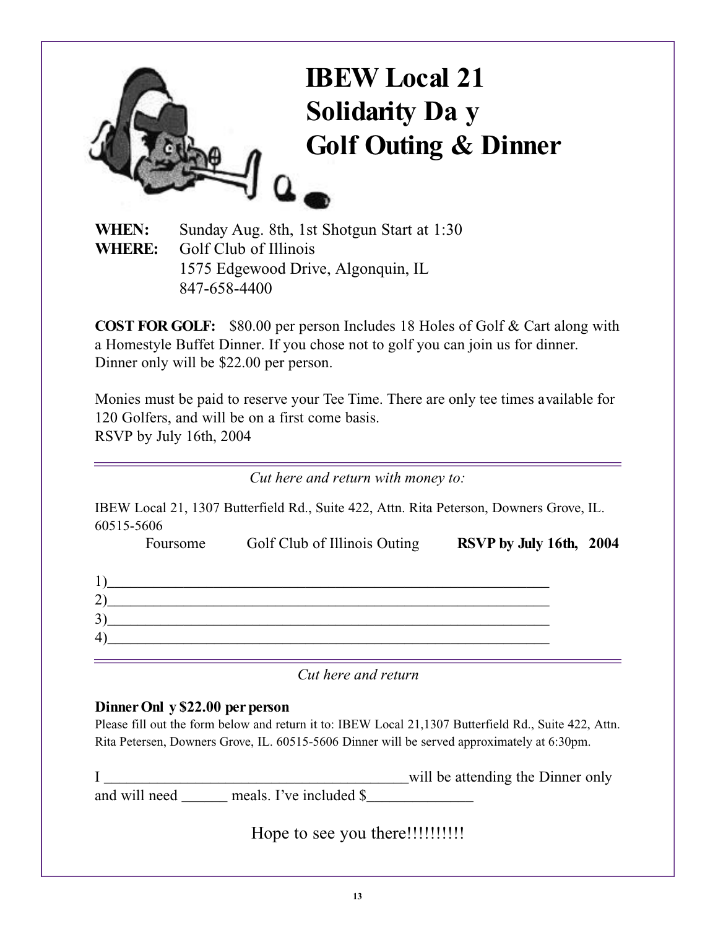

**WHEN:** Sunday Aug. 8th, 1st Shotgun Start at 1:30 **WHERE:** Golf Club of Illinois 1575 Edgewood Drive, Algonquin, IL 847-658-4400

**COST FOR GOLF:** \$80.00 per person Includes 18 Holes of Golf & Cart along with a Homestyle Buffet Dinner. If you chose not to golf you can join us for dinner. Dinner only will be \$22.00 per person.

Monies must be paid to reserve your Tee Time. There are only tee times available for 120 Golfers, and will be on a first come basis. RSVP by July 16th, 2004

*Cut here and return with money to:*

IBEW Local 21, 1307 Butterfield Rd., Suite 422, Attn. Rita Peterson, Downers Grove, IL. 60515-5606

|                       | Foursome | Golf Club of Illinois Outing | RSVP by July 16th, 2004 |  |
|-----------------------|----------|------------------------------|-------------------------|--|
|                       |          |                              |                         |  |
| $\mathbf{2}^{\prime}$ |          |                              |                         |  |
| 3)                    |          |                              |                         |  |
| $ 4\rangle$           |          |                              |                         |  |
|                       |          |                              |                         |  |

*Cut here and return*

#### **Dinner Onl y \$22.00 per person**

Please fill out the form below and return it to: IBEW Local 21,1307 Butterfield Rd., Suite 422, Attn. Rita Petersen, Downers Grove, IL. 60515-5606 Dinner will be served approximately at 6:30pm.

I \_\_\_\_\_\_\_\_\_\_\_\_\_\_\_\_\_\_\_\_\_\_\_\_\_\_\_\_\_\_\_\_\_\_\_\_\_\_\_\_will be attending the Dinner only and will need \_\_\_\_\_\_ meals. I've included \$\_\_\_\_\_\_\_\_\_\_\_\_\_\_

Hope to see you there!!!!!!!!!!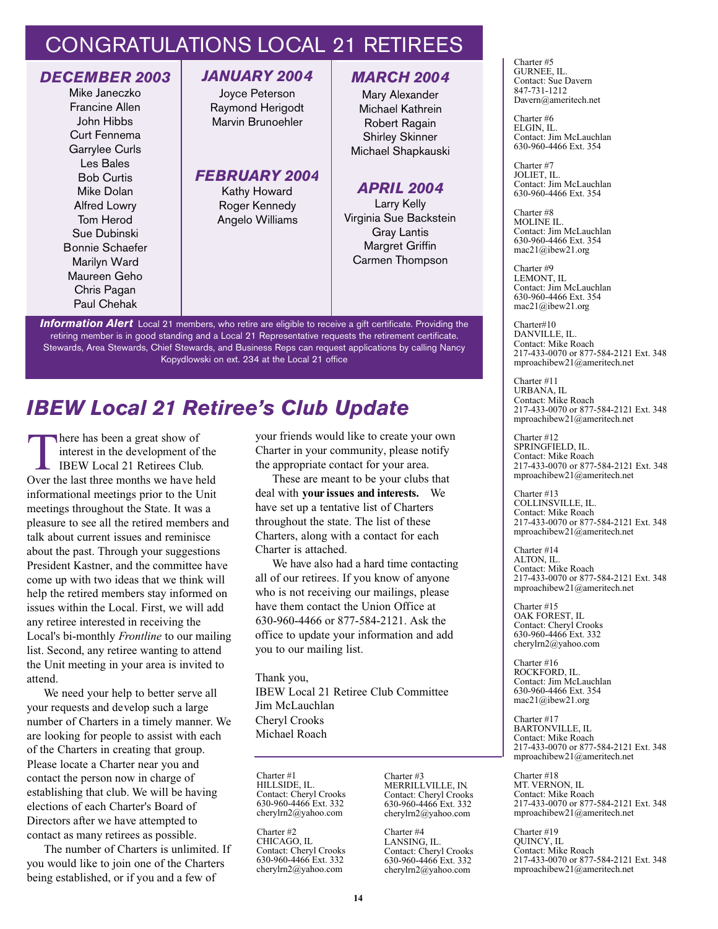## CONGRATULATIONS LOCAL 21 RETIREES

#### *DECEMBER 2003* Mike Janeczko Francine Allen John Hibbs Curt Fennema Garrylee Curls Les Bales Bob Curtis Mike Dolan Alfred Lowry Tom Herod Sue Dubinski Bonnie Schaefer Marilyn Ward Maureen Geho Chris Pagan Paul Chehak

#### *JANUARY 2004*

Joyce Peterson Raymond Herigodt Marvin Brunoehler

#### *FEBRUARY 2004*

Kathy Howard Roger Kennedy Angelo Williams

#### *MARCH 2004*

Mary Alexander Michael Kathrein Robert Ragain Shirley Skinner Michael Shapkauski

#### *APRIL 2004*

Larry Kelly Virginia Sue Backstein Gray Lantis Margret Griffin Carmen Thompson

**Information Alert** Local 21 members, who retire are eligible to receive a gift certificate. Providing the retiring member is in good standing and a Local 21 Representative requests the retirement certificate. Stewards, Area Stewards, Chief Stewards, and Business Reps can request applications by calling Nancy Kopydlowski on ext. 234 at the Local 21 office

## *IBEW Local 21 Retiree's Club Update*

There has been a great show of<br>
interest in the development of the<br>
IBEW Local 21 Retirees Club.<br>
Over the last three months we have held here has been a great show of interest in the development of the IBEW Local 21 Retirees Club. informational meetings prior to the Unit meetings throughout the State. It was a pleasure to see all the retired members and talk about current issues and reminisce about the past. Through your suggestions President Kastner, and the committee have come up with two ideas that we think will help the retired members stay informed on issues within the Local. First, we will add any retiree interested in receiving the Local's bi-monthly *Frontline* to our mailing list. Second, any retiree wanting to attend the Unit meeting in your area is invited to attend.

We need your help to better serve all your requests and develop such a large number of Charters in a timely manner. We are looking for people to assist with each of the Charters in creating that group. Please locate a Charter near you and contact the person now in charge of establishing that club. We will be having elections of each Charter's Board of Directors after we have attempted to contact as many retirees as possible.

The number of Charters is unlimited. If you would like to join one of the Charters being established, or if you and a few of

your friends would like to create your own Charter in your community, please notify the appropriate contact for your area.

These are meant to be your clubs that deal with **your issues and interests.** We have set up a tentative list of Charters throughout the state. The list of these Charters, along with a contact for each Charter is attached.

We have also had a hard time contacting all of our retirees. If you know of anyone who is not receiving our mailings, please have them contact the Union Office at 630-960-4466 or 877-584-2121. Ask the office to update your information and add you to our mailing list.

Thank you, IBEW Local 21 Retiree Club Committee Jim McLauchlan Cheryl Crooks Michael Roach

Charter #1 HILLSIDE, IL. Contact: Cheryl Crooks 630-960-4466 Ext. 332 cherylrn2@yahoo.com

Charter #2 CHICAGO, IL Contact: Cheryl Crooks 630-960-4466 Ext. 332 cherylrn2@yahoo.com

Charter #3 MERRILLVILLE, IN. Contact: Cheryl Crooks 630-960-4466 Ext. 332 cherylrn2@yahoo.com

Charter #4 LANSING, IL. Contact: Cheryl Crooks 630-960-4466 Ext. 332 cherylrn2@yahoo.com

Charter #5 GURNEE, IL. Contact: Sue Davern 847-731-1212 Davern@ameritech.net

Charter #6 ELGIN, IL. Contact: Jim McLauchlan 630-960-4466 Ext. 354

Charter #7 JOLIET, IL. Contact: Jim McLauchlan 630-960-4466 Ext. 354

Charter #8 MOLINE IL. Contact: Jim McLauchlan 630-960-4466 Ext. 354 mac21@ibew21.org

Charter #9 LEMONT, IL Contact: Jim McLauchlan 630-960-4466 Ext. 354 mac21@ibew21.org

Charter#10 DANVILLE, IL. Contact: Mike Roach 217-433-0070 or 877-584-2121 Ext. 348 mproachibew21@ameritech.net

Charter #11 URBANA, IL Contact: Mike Roach 217-433-0070 or 877-584-2121 Ext. 348 mproachibew21@ameritech.net

Charter #12 SPRINGFIELD, IL. Contact: Mike Roach 217-433-0070 or 877-584-2121 Ext. 348 mproachibew21@ameritech.net

Charter #13 COLLINSVILLE, IL. Contact: Mike Roach 217-433-0070 or 877-584-2121 Ext. 348 mproachibew21@ameritech.net

Charter #14 ALTON, IL. Contact: Mike Roach 217-433-0070 or 877-584-2121 Ext. 348 mproachibew21@ameritech.net

Charter #15 OAK FOREST, IL Contact: Cheryl Crooks 630-960-4466 Ext. 332 cherylrn2@yahoo.com

Charter #16 ROCKFORD, IL. Contact: Jim McLauchlan 630-960-4466 Ext. 354 mac21@ibew21.org

Charter #17 BARTONVILLE, IL Contact: Mike Roach 217-433-0070 or 877-584-2121 Ext. 348 mproachibew21@ameritech.net

Charter #18 MT. VERNON, IL Contact: Mike Roach 217-433-0070 or 877-584-2121 Ext. 348 mproachibew21@ameritech.net

Charter #19 QUINCY, IL Contact: Mike Roach 217-433-0070 or 877-584-2121 Ext. 348 mproachibew21@ameritech.net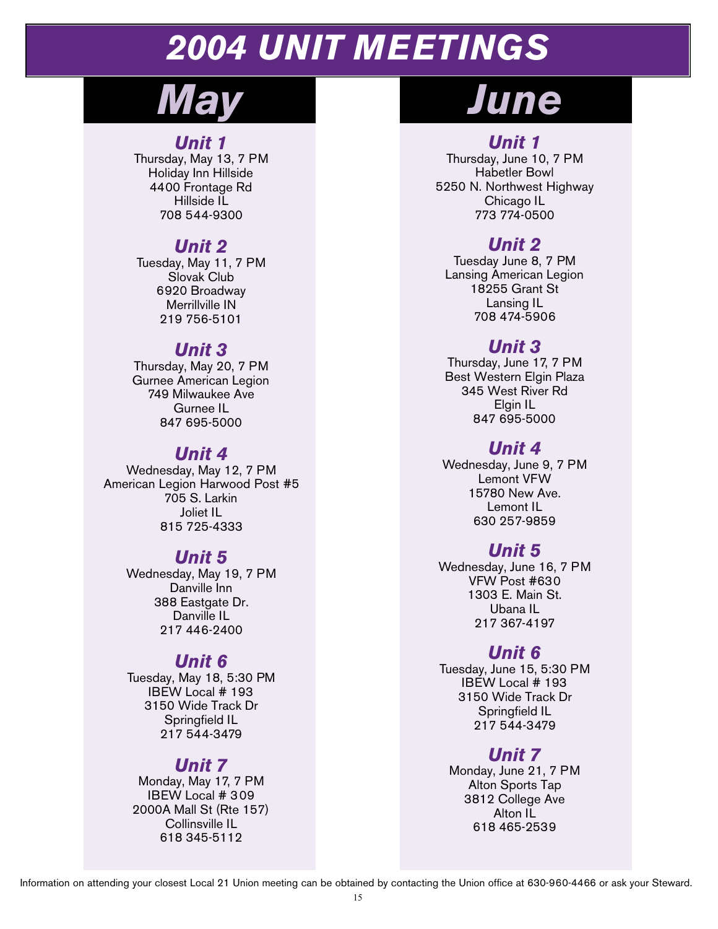# *2004 UNIT MEETINGS*

#### *Unit 1*

Thursday, May 13, 7 PM Holiday Inn Hillside 4400 Frontage Rd Hillside IL 708 544-9300

## *Unit 2*

Tuesday, May 11, 7 PM Slovak Club 6920 Broadway Merrillville IN 219 756-5101

#### *Unit 3*

Thursday, May 20, 7 PM Gurnee American Legion 749 Milwaukee Ave Gurnee IL 847 695-5000

#### *Unit 4*

Wednesday, May 12, 7 PM American Legion Harwood Post #5 705 S. Larkin Joliet IL 815 725-4333

#### *Unit 5*

Wednesday, May 19, 7 PM Danville Inn 388 Eastgate Dr. Danville IL 217 446-2400

## *Unit 6*

Tuesday, May 18, 5:30 PM IBEW Local # 193 3150 Wide Track Dr Springfield IL 217 544-3479

## *Unit 7*

Monday, May 17, 7 PM IBEW Local # 309 2000A Mall St (Rte 157) Collinsville IL 618 345-5112

# *May June*

## *Unit 1*

Thursday, June 10, 7 PM Habetler Bowl 5250 N. Northwest Highway Chicago IL 773 774-0500

## *Unit 2*

Tuesday June 8, 7 PM Lansing American Legion 18255 Grant St Lansing IL 708 474-5906

### *Unit 3*

Thursday, June 17, 7 PM Best Western Elgin Plaza 345 West River Rd Elgin IL 847 695-5000

### *Unit 4*

Wednesday, June 9, 7 PM Lemont VFW 15780 New Ave. Lemont IL 630 257-9859

## *Unit 5*

Wednesday, June 16, 7 PM VFW Post #630 1303 E. Main St. Ubana IL 217 367-4197

## *Unit 6*

Tuesday, June 15, 5:30 PM IBEW Local # 193 3150 Wide Track Dr Springfield IL 217 544-3479

## *Unit 7*

Monday, June 21, 7 PM Alton Sports Tap 3812 College Ave Alton IL 618 465-2539

Information on attending your closest Local 21 Union meeting can be obtained by contacting the Union office at 630-960-4466 or ask your Steward.